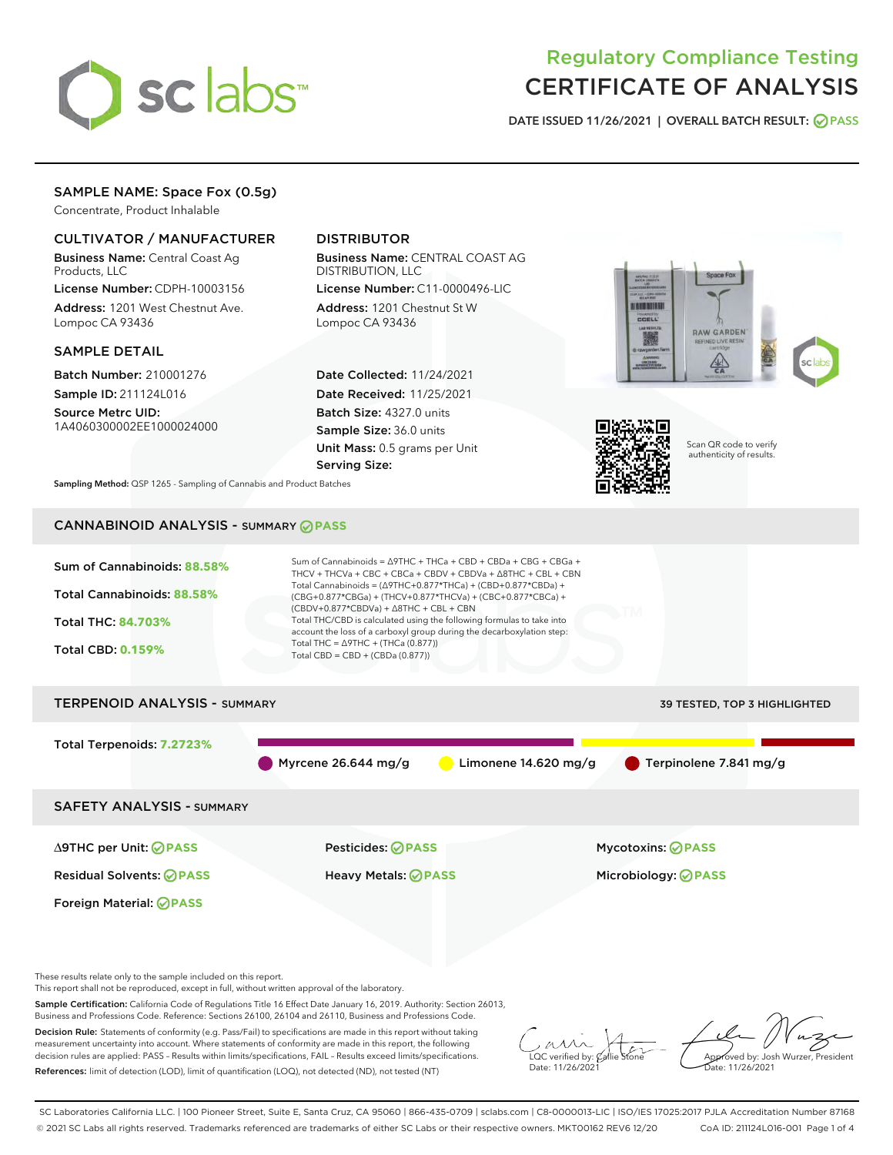

# Regulatory Compliance Testing CERTIFICATE OF ANALYSIS

DATE ISSUED 11/26/2021 | OVERALL BATCH RESULT: @ PASS

# SAMPLE NAME: Space Fox (0.5g)

Concentrate, Product Inhalable

# CULTIVATOR / MANUFACTURER

Business Name: Central Coast Ag Products, LLC

License Number: CDPH-10003156 Address: 1201 West Chestnut Ave. Lompoc CA 93436

### SAMPLE DETAIL

Batch Number: 210001276 Sample ID: 211124L016

Source Metrc UID: 1A4060300002EE1000024000

# DISTRIBUTOR

Business Name: CENTRAL COAST AG DISTRIBUTION, LLC

License Number: C11-0000496-LIC Address: 1201 Chestnut St W Lompoc CA 93436

Date Collected: 11/24/2021 Date Received: 11/25/2021 Batch Size: 4327.0 units Sample Size: 36.0 units Unit Mass: 0.5 grams per Unit Serving Size:





Scan QR code to verify authenticity of results.

Sampling Method: QSP 1265 - Sampling of Cannabis and Product Batches

# CANNABINOID ANALYSIS - SUMMARY **PASS**



This report shall not be reproduced, except in full, without written approval of the laboratory.

Sample Certification: California Code of Regulations Title 16 Effect Date January 16, 2019. Authority: Section 26013, Business and Professions Code. Reference: Sections 26100, 26104 and 26110, Business and Professions Code.

Decision Rule: Statements of conformity (e.g. Pass/Fail) to specifications are made in this report without taking measurement uncertainty into account. Where statements of conformity are made in this report, the following decision rules are applied: PASS – Results within limits/specifications, FAIL – Results exceed limits/specifications. References: limit of detection (LOD), limit of quantification (LOQ), not detected (ND), not tested (NT)

 $\overline{\text{C}}$  verified by:  $\mathcal C$ Date: 11/26/202<sup>1</sup>

Approved by: Josh Wurzer, President ate: 11/26/2021

SC Laboratories California LLC. | 100 Pioneer Street, Suite E, Santa Cruz, CA 95060 | 866-435-0709 | sclabs.com | C8-0000013-LIC | ISO/IES 17025:2017 PJLA Accreditation Number 87168 © 2021 SC Labs all rights reserved. Trademarks referenced are trademarks of either SC Labs or their respective owners. MKT00162 REV6 12/20 CoA ID: 211124L016-001 Page 1 of 4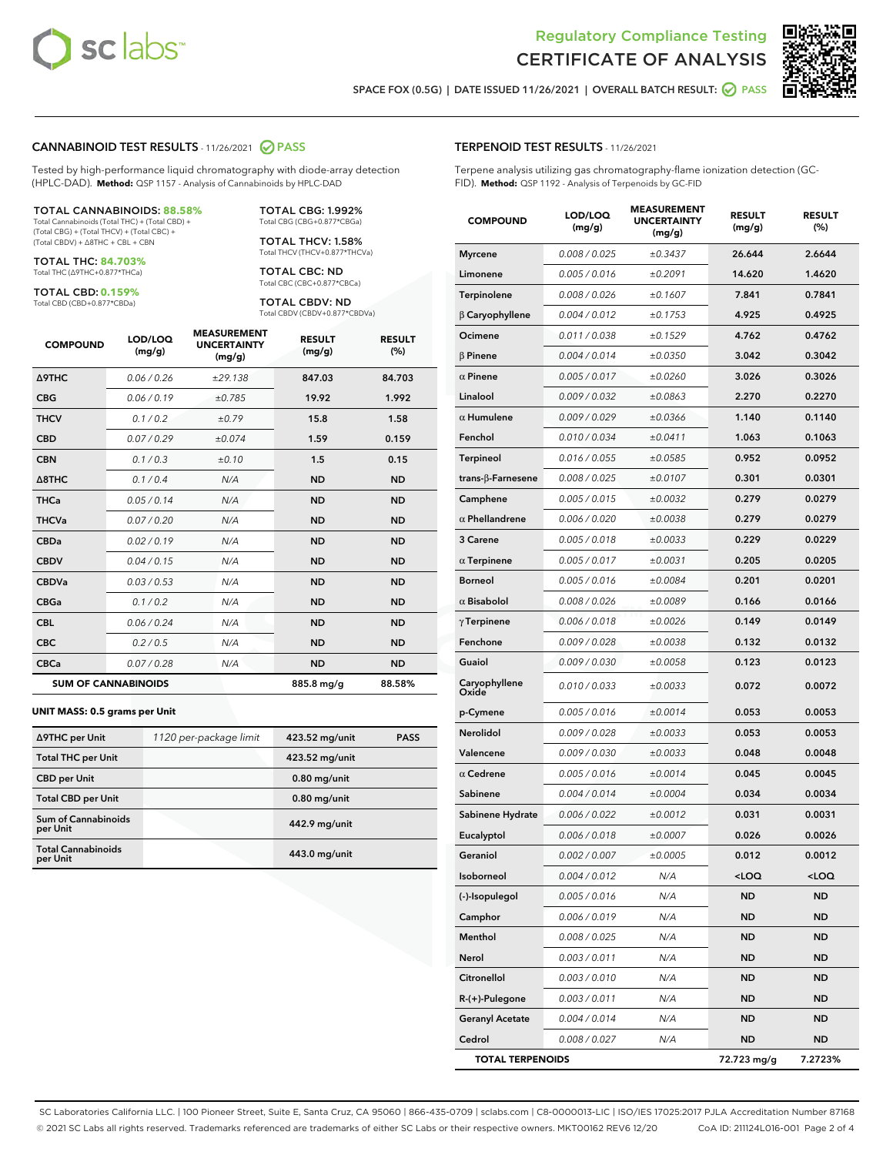



SPACE FOX (0.5G) | DATE ISSUED 11/26/2021 | OVERALL BATCH RESULT:  $\bigcirc$  PASS

#### CANNABINOID TEST RESULTS - 11/26/2021 2 PASS

Tested by high-performance liquid chromatography with diode-array detection (HPLC-DAD). **Method:** QSP 1157 - Analysis of Cannabinoids by HPLC-DAD

#### TOTAL CANNABINOIDS: **88.58%**

Total Cannabinoids (Total THC) + (Total CBD) + (Total CBG) + (Total THCV) + (Total CBC) + (Total CBDV) + ∆8THC + CBL + CBN

TOTAL THC: **84.703%** Total THC (∆9THC+0.877\*THCa)

TOTAL CBD: **0.159%**

Total CBD (CBD+0.877\*CBDa)

TOTAL CBG: 1.992% Total CBG (CBG+0.877\*CBGa)

TOTAL THCV: 1.58% Total THCV (THCV+0.877\*THCVa)

TOTAL CBC: ND Total CBC (CBC+0.877\*CBCa)

TOTAL CBDV: ND Total CBDV (CBDV+0.877\*CBDVa)

| <b>COMPOUND</b>            | LOD/LOQ<br>(mg/g) | <b>MEASUREMENT</b><br><b>UNCERTAINTY</b><br>(mg/g) | <b>RESULT</b><br>(mg/g) | <b>RESULT</b><br>(%) |
|----------------------------|-------------------|----------------------------------------------------|-------------------------|----------------------|
| <b>A9THC</b>               | 0.06 / 0.26       | ±29.138                                            | 847.03                  | 84.703               |
| <b>CBG</b>                 | 0.06/0.19         | ±0.785                                             | 19.92                   | 1.992                |
| <b>THCV</b>                | 0.1 / 0.2         | ±0.79                                              | 15.8                    | 1.58                 |
| <b>CBD</b>                 | 0.07/0.29         | ±0.074                                             | 1.59                    | 0.159                |
| <b>CBN</b>                 | 0.1/0.3           | ±0.10                                              | 1.5                     | 0.15                 |
| $\triangle$ 8THC           | 0.1/0.4           | N/A                                                | <b>ND</b>               | <b>ND</b>            |
| <b>THCa</b>                | 0.05/0.14         | N/A                                                | <b>ND</b>               | <b>ND</b>            |
| <b>THCVa</b>               | 0.07/0.20         | N/A                                                | <b>ND</b>               | <b>ND</b>            |
| <b>CBDa</b>                | 0.02/0.19         | N/A                                                | <b>ND</b>               | <b>ND</b>            |
| <b>CBDV</b>                | 0.04/0.15         | N/A                                                | <b>ND</b>               | <b>ND</b>            |
| <b>CBDVa</b>               | 0.03/0.53         | N/A                                                | <b>ND</b>               | <b>ND</b>            |
| <b>CBGa</b>                | 0.1 / 0.2         | N/A                                                | <b>ND</b>               | <b>ND</b>            |
| <b>CBL</b>                 | 0.06 / 0.24       | N/A                                                | <b>ND</b>               | <b>ND</b>            |
| <b>CBC</b>                 | 0.2 / 0.5         | N/A                                                | <b>ND</b>               | <b>ND</b>            |
| <b>CBCa</b>                | 0.07 / 0.28       | N/A                                                | <b>ND</b>               | <b>ND</b>            |
| <b>SUM OF CANNABINOIDS</b> |                   |                                                    | 885.8 mg/g              | 88.58%               |

#### **UNIT MASS: 0.5 grams per Unit**

| ∆9THC per Unit                         | 1120 per-package limit | 423.52 mg/unit | <b>PASS</b> |
|----------------------------------------|------------------------|----------------|-------------|
| <b>Total THC per Unit</b>              |                        | 423.52 mg/unit |             |
| <b>CBD per Unit</b>                    |                        | $0.80$ mg/unit |             |
| <b>Total CBD per Unit</b>              |                        | $0.80$ mg/unit |             |
| <b>Sum of Cannabinoids</b><br>per Unit |                        | 442.9 mg/unit  |             |
| <b>Total Cannabinoids</b><br>per Unit  |                        | 443.0 mg/unit  |             |

| <b>COMPOUND</b>         | LOD/LOQ<br>(mg/g) | <b>MEASUREMENT</b><br><b>UNCERTAINTY</b><br>(mg/g) | <b>RESULT</b><br>(mg/g)                         | <b>RESULT</b><br>(%) |
|-------------------------|-------------------|----------------------------------------------------|-------------------------------------------------|----------------------|
| <b>Myrcene</b>          | 0.008 / 0.025     | ±0.3437                                            | 26.644                                          | 2.6644               |
| Limonene                | 0.005 / 0.016     | ±0.2091                                            | 14.620                                          | 1.4620               |
| Terpinolene             | 0.008 / 0.026     | ±0.1607                                            | 7.841                                           | 0.7841               |
| $\beta$ Caryophyllene   | 0.004 / 0.012     | ±0.1753                                            | 4.925                                           | 0.4925               |
| Ocimene                 | 0.011 / 0.038     | ±0.1529                                            | 4.762                                           | 0.4762               |
| <b>β Pinene</b>         | 0.004 / 0.014     | ±0.0350                                            | 3.042                                           | 0.3042               |
| $\alpha$ Pinene         | 0.005 / 0.017     | ±0.0260                                            | 3.026                                           | 0.3026               |
| Linalool                | 0.009 / 0.032     | ±0.0863                                            | 2.270                                           | 0.2270               |
| $\alpha$ Humulene       | 0.009 / 0.029     | ±0.0366                                            | 1.140                                           | 0.1140               |
| Fenchol                 | 0.010 / 0.034     | ±0.0411                                            | 1.063                                           | 0.1063               |
| Terpineol               | 0.016 / 0.055     | ±0.0585                                            | 0.952                                           | 0.0952               |
| trans-β-Farnesene       | 0.008 / 0.025     | ±0.0107                                            | 0.301                                           | 0.0301               |
| Camphene                | 0.005 / 0.015     | ±0.0032                                            | 0.279                                           | 0.0279               |
| $\alpha$ Phellandrene   | 0.006 / 0.020     | ±0.0038                                            | 0.279                                           | 0.0279               |
| 3 Carene                | 0.005 / 0.018     | ±0.0033                                            | 0.229                                           | 0.0229               |
| $\alpha$ Terpinene      | 0.005 / 0.017     | ±0.0031                                            | 0.205                                           | 0.0205               |
| <b>Borneol</b>          | 0.005 / 0.016     | ±0.0084                                            | 0.201                                           | 0.0201               |
| $\alpha$ Bisabolol      | 0.008 / 0.026     | ±0.0089                                            | 0.166                                           | 0.0166               |
| $\gamma$ Terpinene      | 0.006 / 0.018     | ±0.0026                                            | 0.149                                           | 0.0149               |
| Fenchone                | 0.009 / 0.028     | ±0.0038                                            | 0.132                                           | 0.0132               |
| Guaiol                  | 0.009 / 0.030     | ±0.0058                                            | 0.123                                           | 0.0123               |
| Caryophyllene<br>Oxide  | 0.010 / 0.033     | ±0.0033                                            | 0.072                                           | 0.0072               |
| p-Cymene                | 0.005 / 0.016     | ±0.0014                                            | 0.053                                           | 0.0053               |
| Nerolidol               | 0.009 / 0.028     | ±0.0033                                            | 0.053                                           | 0.0053               |
| Valencene               | 0.009 / 0.030     | ±0.0033                                            | 0.048                                           | 0.0048               |
| $\alpha$ Cedrene        | 0.005 / 0.016     | ±0.0014                                            | 0.045                                           | 0.0045               |
| Sabinene                | 0.004 / 0.014     | ±0.0004                                            | 0.034                                           | 0.0034               |
| Sabinene Hydrate        | 0.006 / 0.022     | ±0.0012                                            | 0.031                                           | 0.0031               |
| Eucalyptol              | 0.006 / 0.018     | ±0.0007                                            | 0.026                                           | 0.0026               |
| Geraniol                | 0.002 / 0.007     | ±0.0005                                            | 0.012                                           | 0.0012               |
| Isoborneol              | 0.004 / 0.012     | N/A                                                | <loq< th=""><th><loq< th=""></loq<></th></loq<> | <loq< th=""></loq<>  |
| (-)-Isopulegol          | 0.005 / 0.016     | N/A                                                | <b>ND</b>                                       | <b>ND</b>            |
| Camphor                 | 0.006 / 0.019     | N/A                                                | <b>ND</b>                                       | ND                   |
| Menthol                 | 0.008 / 0.025     | N/A                                                | <b>ND</b>                                       | ND                   |
| Nerol                   | 0.003 / 0.011     | N/A                                                | ND                                              | <b>ND</b>            |
| Citronellol             | 0.003 / 0.010     | N/A                                                | <b>ND</b>                                       | ND                   |
| R-(+)-Pulegone          | 0.003 / 0.011     | N/A                                                | <b>ND</b>                                       | ND                   |
| <b>Geranyl Acetate</b>  | 0.004 / 0.014     | N/A                                                | <b>ND</b>                                       | <b>ND</b>            |
| Cedrol                  | 0.008 / 0.027     | N/A                                                | ND                                              | ND                   |
| <b>TOTAL TERPENOIDS</b> |                   |                                                    | 72.723 mg/g                                     | 7.2723%              |

SC Laboratories California LLC. | 100 Pioneer Street, Suite E, Santa Cruz, CA 95060 | 866-435-0709 | sclabs.com | C8-0000013-LIC | ISO/IES 17025:2017 PJLA Accreditation Number 87168 © 2021 SC Labs all rights reserved. Trademarks referenced are trademarks of either SC Labs or their respective owners. MKT00162 REV6 12/20 CoA ID: 211124L016-001 Page 2 of 4

# TERPENOID TEST RESULTS - 11/26/2021

Terpene analysis utilizing gas chromatography-flame ionization detection (GC-FID). **Method:** QSP 1192 - Analysis of Terpenoids by GC-FID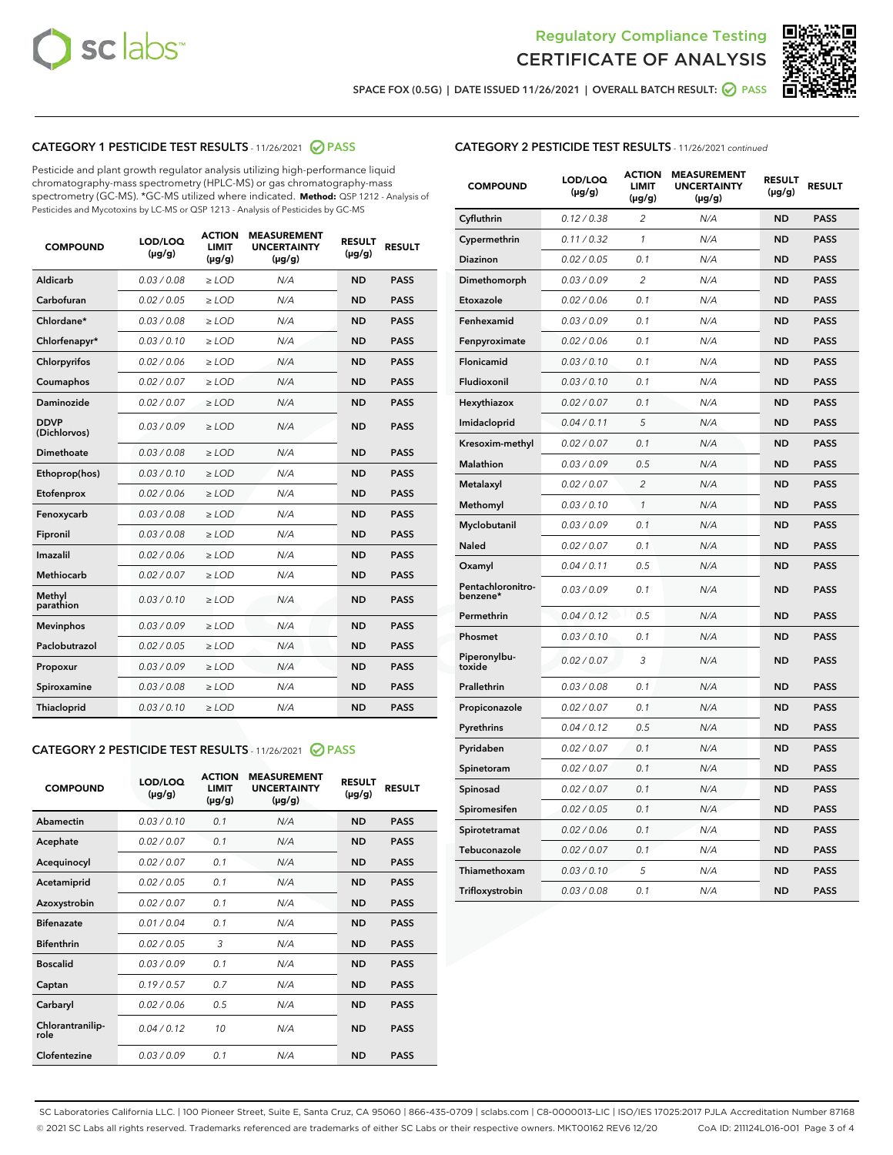



SPACE FOX (0.5G) | DATE ISSUED 11/26/2021 | OVERALL BATCH RESULT: 2 PASS

# CATEGORY 1 PESTICIDE TEST RESULTS - 11/26/2021 2 PASS

Pesticide and plant growth regulator analysis utilizing high-performance liquid chromatography-mass spectrometry (HPLC-MS) or gas chromatography-mass spectrometry (GC-MS). \*GC-MS utilized where indicated. **Method:** QSP 1212 - Analysis of Pesticides and Mycotoxins by LC-MS or QSP 1213 - Analysis of Pesticides by GC-MS

| <b>COMPOUND</b>             | LOD/LOQ<br>$(\mu g/g)$ | <b>ACTION</b><br><b>LIMIT</b><br>$(\mu g/g)$ | <b>MEASUREMENT</b><br><b>UNCERTAINTY</b><br>$(\mu g/g)$ | <b>RESULT</b><br>$(\mu g/g)$ | <b>RESULT</b> |
|-----------------------------|------------------------|----------------------------------------------|---------------------------------------------------------|------------------------------|---------------|
| Aldicarb                    | 0.03 / 0.08            | $\ge$ LOD                                    | N/A                                                     | <b>ND</b>                    | <b>PASS</b>   |
| Carbofuran                  | 0.02 / 0.05            | $\ge$ LOD                                    | N/A                                                     | <b>ND</b>                    | <b>PASS</b>   |
| Chlordane*                  | 0.03 / 0.08            | $\ge$ LOD                                    | N/A                                                     | <b>ND</b>                    | <b>PASS</b>   |
| Chlorfenapyr*               | 0.03/0.10              | $\ge$ LOD                                    | N/A                                                     | <b>ND</b>                    | <b>PASS</b>   |
| Chlorpyrifos                | 0.02 / 0.06            | $\ge$ LOD                                    | N/A                                                     | <b>ND</b>                    | <b>PASS</b>   |
| Coumaphos                   | 0.02 / 0.07            | $\ge$ LOD                                    | N/A                                                     | <b>ND</b>                    | <b>PASS</b>   |
| Daminozide                  | 0.02 / 0.07            | $\ge$ LOD                                    | N/A                                                     | <b>ND</b>                    | <b>PASS</b>   |
| <b>DDVP</b><br>(Dichlorvos) | 0.03/0.09              | $>$ LOD                                      | N/A                                                     | <b>ND</b>                    | <b>PASS</b>   |
| Dimethoate                  | 0.03 / 0.08            | $\ge$ LOD                                    | N/A                                                     | <b>ND</b>                    | <b>PASS</b>   |
| Ethoprop(hos)               | 0.03/0.10              | $>$ LOD                                      | N/A                                                     | <b>ND</b>                    | <b>PASS</b>   |
| Etofenprox                  | 0.02 / 0.06            | $\ge$ LOD                                    | N/A                                                     | <b>ND</b>                    | <b>PASS</b>   |
| Fenoxycarb                  | 0.03 / 0.08            | $\ge$ LOD                                    | N/A                                                     | <b>ND</b>                    | <b>PASS</b>   |
| Fipronil                    | 0.03 / 0.08            | $\ge$ LOD                                    | N/A                                                     | <b>ND</b>                    | <b>PASS</b>   |
| Imazalil                    | 0.02 / 0.06            | $>$ LOD                                      | N/A                                                     | <b>ND</b>                    | <b>PASS</b>   |
| <b>Methiocarb</b>           | 0.02 / 0.07            | $\ge$ LOD                                    | N/A                                                     | <b>ND</b>                    | <b>PASS</b>   |
| Methyl<br>parathion         | 0.03/0.10              | $\ge$ LOD                                    | N/A                                                     | <b>ND</b>                    | <b>PASS</b>   |
| <b>Mevinphos</b>            | 0.03/0.09              | $\ge$ LOD                                    | N/A                                                     | <b>ND</b>                    | <b>PASS</b>   |
| Paclobutrazol               | 0.02 / 0.05            | $>$ LOD                                      | N/A                                                     | <b>ND</b>                    | <b>PASS</b>   |
| Propoxur                    | 0.03/0.09              | $\ge$ LOD                                    | N/A                                                     | <b>ND</b>                    | <b>PASS</b>   |
| Spiroxamine                 | 0.03 / 0.08            | $\ge$ LOD                                    | N/A                                                     | <b>ND</b>                    | <b>PASS</b>   |
| Thiacloprid                 | 0.03/0.10              | $\ge$ LOD                                    | N/A                                                     | <b>ND</b>                    | <b>PASS</b>   |

#### CATEGORY 2 PESTICIDE TEST RESULTS - 11/26/2021 @ PASS

| <b>COMPOUND</b>          | LOD/LOQ<br>$(\mu g/g)$ | <b>ACTION</b><br>LIMIT<br>$(\mu g/g)$ | <b>MEASUREMENT</b><br><b>UNCERTAINTY</b><br>$(\mu g/g)$ | <b>RESULT</b><br>$(\mu g/g)$ | <b>RESULT</b> |  |
|--------------------------|------------------------|---------------------------------------|---------------------------------------------------------|------------------------------|---------------|--|
| Abamectin                | 0.03/0.10              | 0.1                                   | N/A                                                     | <b>ND</b>                    | <b>PASS</b>   |  |
| Acephate                 | 0.02/0.07              | 0.1                                   | N/A                                                     | <b>ND</b>                    | <b>PASS</b>   |  |
| Acequinocyl              | 0.02/0.07              | 0.1                                   | N/A                                                     | <b>ND</b>                    | <b>PASS</b>   |  |
| Acetamiprid              | 0.02/0.05              | 0.1                                   | N/A                                                     | <b>ND</b>                    | <b>PASS</b>   |  |
| Azoxystrobin             | 0.02/0.07              | 0.1                                   | N/A                                                     | <b>ND</b>                    | <b>PASS</b>   |  |
| <b>Bifenazate</b>        | 0.01 / 0.04            | 0.1                                   | N/A                                                     | <b>ND</b>                    | <b>PASS</b>   |  |
| <b>Bifenthrin</b>        | 0.02 / 0.05            | 3                                     | N/A                                                     | <b>ND</b>                    | <b>PASS</b>   |  |
| <b>Boscalid</b>          | 0.03/0.09              | 0.1                                   | N/A                                                     | <b>ND</b>                    | <b>PASS</b>   |  |
| Captan                   | 0.19/0.57              | 0.7                                   | N/A                                                     | <b>ND</b>                    | <b>PASS</b>   |  |
| Carbaryl                 | 0.02/0.06              | 0.5                                   | N/A                                                     | <b>ND</b>                    | <b>PASS</b>   |  |
| Chlorantranilip-<br>role | 0.04/0.12              | 10                                    | N/A                                                     | <b>ND</b>                    | <b>PASS</b>   |  |
| Clofentezine             | 0.03/0.09              | 0 <sub>1</sub>                        | N/A                                                     | <b>ND</b>                    | <b>PASS</b>   |  |

| <b>CATEGORY 2 PESTICIDE TEST RESULTS</b> - 11/26/2021 continued |
|-----------------------------------------------------------------|
|-----------------------------------------------------------------|

| <b>COMPOUND</b>               | LOD/LOQ<br>(µg/g) | <b>ACTION</b><br>LIMIT<br>$(\mu g/g)$ | <b>MEASUREMENT</b><br><b>UNCERTAINTY</b><br>(µg/g) | <b>RESULT</b><br>(µg/g) | <b>RESULT</b> |
|-------------------------------|-------------------|---------------------------------------|----------------------------------------------------|-------------------------|---------------|
| Cyfluthrin                    | 0.12 / 0.38       | 2                                     | N/A                                                | <b>ND</b>               | <b>PASS</b>   |
| Cypermethrin                  | 0.11 / 0.32       | $\mathcal{I}$                         | N/A                                                | <b>ND</b>               | <b>PASS</b>   |
| Diazinon                      | 0.02 / 0.05       | 0.1                                   | N/A                                                | ND                      | <b>PASS</b>   |
| Dimethomorph                  | 0.03 / 0.09       | $\overline{2}$                        | N/A                                                | <b>ND</b>               | <b>PASS</b>   |
| Etoxazole                     | 0.02 / 0.06       | 0.1                                   | N/A                                                | <b>ND</b>               | <b>PASS</b>   |
| Fenhexamid                    | 0.03 / 0.09       | 0.1                                   | N/A                                                | <b>ND</b>               | <b>PASS</b>   |
| Fenpyroximate                 | 0.02 / 0.06       | 0.1                                   | N/A                                                | <b>ND</b>               | <b>PASS</b>   |
| Flonicamid                    | 0.03 / 0.10       | 0.1                                   | N/A                                                | <b>ND</b>               | <b>PASS</b>   |
| Fludioxonil                   | 0.03 / 0.10       | 0.1                                   | N/A                                                | <b>ND</b>               | <b>PASS</b>   |
| Hexythiazox                   | 0.02 / 0.07       | 0.1                                   | N/A                                                | <b>ND</b>               | <b>PASS</b>   |
| Imidacloprid                  | 0.04 / 0.11       | 5                                     | N/A                                                | <b>ND</b>               | <b>PASS</b>   |
| Kresoxim-methyl               | 0.02 / 0.07       | 0.1                                   | N/A                                                | <b>ND</b>               | <b>PASS</b>   |
| <b>Malathion</b>              | 0.03 / 0.09       | 0.5                                   | N/A                                                | <b>ND</b>               | <b>PASS</b>   |
| Metalaxyl                     | 0.02 / 0.07       | $\overline{2}$                        | N/A                                                | <b>ND</b>               | <b>PASS</b>   |
| Methomyl                      | 0.03 / 0.10       | 1                                     | N/A                                                | <b>ND</b>               | <b>PASS</b>   |
| Myclobutanil                  | 0.03 / 0.09       | 0.1                                   | N/A                                                | <b>ND</b>               | <b>PASS</b>   |
| Naled                         | 0.02 / 0.07       | 0.1                                   | N/A                                                | <b>ND</b>               | <b>PASS</b>   |
| Oxamyl                        | 0.04 / 0.11       | 0.5                                   | N/A                                                | <b>ND</b>               | <b>PASS</b>   |
| Pentachloronitro-<br>benzene* | 0.03 / 0.09       | 0.1                                   | N/A                                                | <b>ND</b>               | <b>PASS</b>   |
| Permethrin                    | 0.04 / 0.12       | 0.5                                   | N/A                                                | <b>ND</b>               | <b>PASS</b>   |
| Phosmet                       | 0.03/0.10         | 0.1                                   | N/A                                                | <b>ND</b>               | <b>PASS</b>   |
| Piperonylbu-<br>toxide        | 0.02 / 0.07       | 3                                     | N/A                                                | <b>ND</b>               | <b>PASS</b>   |
| Prallethrin                   | 0.03 / 0.08       | 0.1                                   | N/A                                                | <b>ND</b>               | <b>PASS</b>   |
| Propiconazole                 | 0.02 / 0.07       | 0.1                                   | N/A                                                | <b>ND</b>               | <b>PASS</b>   |
| Pyrethrins                    | 0.04 / 0.12       | 0.5                                   | N/A                                                | <b>ND</b>               | <b>PASS</b>   |
| Pyridaben                     | 0.02 / 0.07       | 0.1                                   | N/A                                                | <b>ND</b>               | <b>PASS</b>   |
| Spinetoram                    | 0.02 / 0.07       | 0.1                                   | N/A                                                | <b>ND</b>               | <b>PASS</b>   |
| Spinosad                      | 0.02 / 0.07       | 0.1                                   | N/A                                                | <b>ND</b>               | <b>PASS</b>   |
| Spiromesifen                  | 0.02 / 0.05       | 0.1                                   | N/A                                                | <b>ND</b>               | <b>PASS</b>   |
| Spirotetramat                 | 0.02 / 0.06       | 0.1                                   | N/A                                                | <b>ND</b>               | <b>PASS</b>   |
| Tebuconazole                  | 0.02 / 0.07       | 0.1                                   | N/A                                                | <b>ND</b>               | <b>PASS</b>   |
| Thiamethoxam                  | 0.03 / 0.10       | 5                                     | N/A                                                | <b>ND</b>               | <b>PASS</b>   |
| Trifloxystrobin               | 0.03 / 0.08       | 0.1                                   | N/A                                                | <b>ND</b>               | <b>PASS</b>   |

SC Laboratories California LLC. | 100 Pioneer Street, Suite E, Santa Cruz, CA 95060 | 866-435-0709 | sclabs.com | C8-0000013-LIC | ISO/IES 17025:2017 PJLA Accreditation Number 87168 © 2021 SC Labs all rights reserved. Trademarks referenced are trademarks of either SC Labs or their respective owners. MKT00162 REV6 12/20 CoA ID: 211124L016-001 Page 3 of 4